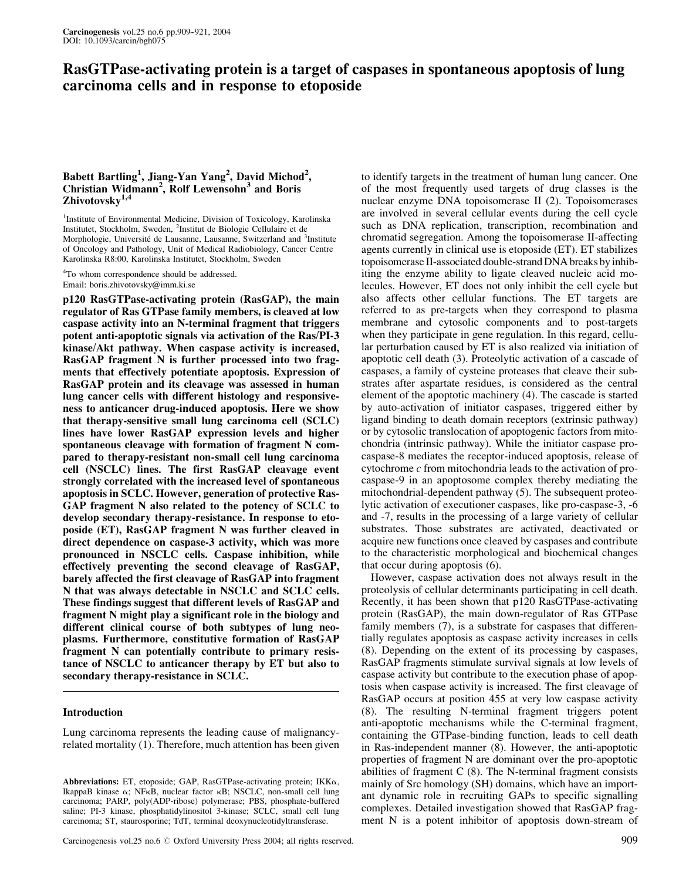# RasGTPase-activating protein is a target of caspases in spontaneous apoptosis of lung carcinoma cells and in response to etoposide

# Babett Bartling<sup>1</sup>, Jiang-Yan Yang<sup>2</sup>, David Michod<sup>2</sup>, Christian Widmann<sup>2</sup>, Rolf Lewensohn<sup>3</sup> and Boris Zhivotovsky<sup>1,4</sup>

<sup>1</sup>Institute of Environmental Medicine, Division of Toxicology, Karolinska Institutet, Stockholm, Sweden, <sup>2</sup>Institut de Biologie Cellulaire et de Morphologie, Université de Lausanne, Lausanne, Switzerland and <sup>3</sup>Institute of Oncology and Pathology, Unit of Medical Radiobiology, Cancer Centre Karolinska R8:00, Karolinska Institutet, Stockholm, Sweden

<sup>4</sup>To whom correspondence should be addressed. Email: boris.zhivotovsky@imm.ki.se

p120 RasGTPase-activating protein (RasGAP), the main regulator of Ras GTPase family members, is cleaved at low caspase activity into an N-terminal fragment that triggers potent anti-apoptotic signals via activation of the Ras/PI-3 kinase/Akt pathway. When caspase activity is increased, RasGAP fragment N is further processed into two fragments that effectively potentiate apoptosis. Expression of RasGAP protein and its cleavage was assessed in human lung cancer cells with different histology and responsiveness to anticancer drug-induced apoptosis. Here we show that therapy-sensitive small lung carcinoma cell (SCLC) lines have lower RasGAP expression levels and higher spontaneous cleavage with formation of fragment N compared to therapy-resistant non-small cell lung carcinoma cell (NSCLC) lines. The first RasGAP cleavage event strongly correlated with the increased level of spontaneous apoptosis in SCLC. However, generation of protective Ras-GAP fragment N also related to the potency of SCLC to develop secondary therapy-resistance. In response to etoposide (ET), RasGAP fragment N was further cleaved in direct dependence on caspase-3 activity, which was more pronounced in NSCLC cells. Caspase inhibition, while effectively preventing the second cleavage of RasGAP, barely affected the first cleavage of RasGAP into fragment N that was always detectable in NSCLC and SCLC cells. These findings suggest that different levels of RasGAP and fragment N might play a significant role in the biology and different clinical course of both subtypes of lung neoplasms. Furthermore, constitutive formation of RasGAP fragment N can potentially contribute to primary resistance of NSCLC to anticancer therapy by ET but also to secondary therapy-resistance in SCLC.

## Introduction

Lung carcinoma represents the leading cause of malignancyrelated mortality (1). Therefore, much attention has been given

to identify targets in the treatment of human lung cancer. One of the most frequently used targets of drug classes is the nuclear enzyme DNA topoisomerase II (2). Topoisomerases are involved in several cellular events during the cell cycle such as DNA replication, transcription, recombination and chromatid segregation. Among the topoisomerase II-affecting agents currently in clinical use is etoposide (ET). ET stabilizes topoisomerase II-associated double-strand DNA breaks byinhibiting the enzyme ability to ligate cleaved nucleic acid molecules. However, ET does not only inhibit the cell cycle but also affects other cellular functions. The ET targets are referred to as pre-targets when they correspond to plasma membrane and cytosolic components and to post-targets when they participate in gene regulation. In this regard, cellular perturbation caused by ET is also realized via initiation of apoptotic cell death (3). Proteolytic activation of a cascade of caspases, a family of cysteine proteases that cleave their substrates after aspartate residues, is considered as the central element of the apoptotic machinery (4). The cascade is started by auto-activation of initiator caspases, triggered either by ligand binding to death domain receptors (extrinsic pathway) or by cytosolic translocation of apoptogenic factors from mitochondria (intrinsic pathway). While the initiator caspase procaspase-8 mediates the receptor-induced apoptosis, release of cytochrome c from mitochondria leads to the activation of procaspase-9 in an apoptosome complex thereby mediating the mitochondrial-dependent pathway (5). The subsequent proteolytic activation of executioner caspases, like pro-caspase-3, -6 and -7, results in the processing of a large variety of cellular substrates. Those substrates are activated, deactivated or acquire new functions once cleaved by caspases and contribute to the characteristic morphological and biochemical changes that occur during apoptosis (6).

However, caspase activation does not always result in the proteolysis of cellular determinants participating in cell death. Recently, it has been shown that p120 RasGTPase-activating protein (RasGAP), the main down-regulator of Ras GTPase family members (7), is a substrate for caspases that differentially regulates apoptosis as caspase activity increases in cells (8). Depending on the extent of its processing by caspases, RasGAP fragments stimulate survival signals at low levels of caspase activity but contribute to the execution phase of apoptosis when caspase activity is increased. The first cleavage of RasGAP occurs at position 455 at very low caspase activity (8). The resulting N-terminal fragment triggers potent anti-apoptotic mechanisms while the C-terminal fragment, containing the GTPase-binding function, leads to cell death in Ras-independent manner (8). However, the anti-apoptotic properties of fragment N are dominant over the pro-apoptotic abilities of fragment C (8). The N-terminal fragment consists mainly of Src homology (SH) domains, which have an important dynamic role in recruiting GAPs to specific signalling complexes. Detailed investigation showed that RasGAP fragment N is a potent inhibitor of apoptosis down-stream of

Abbreviations: ET, etoposide; GAP, RasGTPase-activating protein; IKKa, IkappaB kinase  $\alpha$ ; NFKB, nuclear factor  $\kappa$ B; NSCLC, non-small cell lung carcinoma; PARP, poly(ADP-ribose) polymerase; PBS, phosphate-buffered saline; PI-3 kinase, phosphatidylinositol 3-kinase; SCLC, small cell lung carcinoma; ST, staurosporine; TdT, terminal deoxynucleotidyltransferase.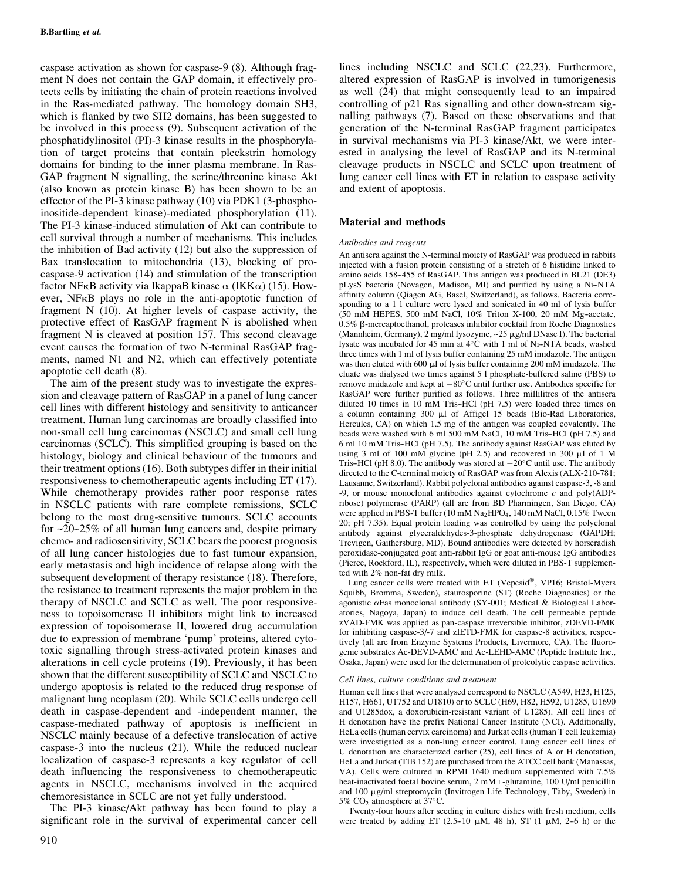caspase activation as shown for caspase-9 (8). Although fragment N does not contain the GAP domain, it effectively protects cells by initiating the chain of protein reactions involved in the Ras-mediated pathway. The homology domain SH3, which is flanked by two SH2 domains, has been suggested to be involved in this process (9). Subsequent activation of the phosphatidylinositol (PI)-3 kinase results in the phosphorylation of target proteins that contain pleckstrin homology domains for binding to the inner plasma membrane. In Ras-GAP fragment N signalling, the serine/threonine kinase Akt (also known as protein kinase B) has been shown to be an effector of the PI-3 kinase pathway (10) via PDK1 (3-phosphoinositide-dependent kinase)-mediated phosphorylation (11). The PI-3 kinase-induced stimulation of Akt can contribute to cell survival through a number of mechanisms. This includes the inhibition of Bad activity (12) but also the suppression of Bax translocation to mitochondria (13), blocking of procaspase-9 activation (14) and stimulation of the transcription factor NF $\kappa$ B activity via IkappaB kinase  $\alpha$  (IKK $\alpha$ ) (15). However, NFkB plays no role in the anti-apoptotic function of fragment N (10). At higher levels of caspase activity, the protective effect of RasGAP fragment N is abolished when fragment N is cleaved at position 157. This second cleavage event causes the formation of two N-terminal RasGAP fragments, named N1 and N2, which can effectively potentiate apoptotic cell death (8).

The aim of the present study was to investigate the expression and cleavage pattern of RasGAP in a panel of lung cancer cell lines with different histology and sensitivity to anticancer treatment. Human lung carcinomas are broadly classified into non-small cell lung carcinomas (NSCLC) and small cell lung carcinomas (SCLC). This simplified grouping is based on the histology, biology and clinical behaviour of the tumours and their treatment options (16). Both subtypes differ in their initial responsiveness to chemotherapeutic agents including ET (17). While chemotherapy provides rather poor response rates in NSCLC patients with rare complete remissions, SCLC belong to the most drug-sensitive tumours. SCLC accounts for  $\approx$  20-25% of all human lung cancers and, despite primary chemo- and radiosensitivity, SCLC bears the poorest prognosis of all lung cancer histologies due to fast tumour expansion, early metastasis and high incidence of relapse along with the subsequent development of therapy resistance (18). Therefore, the resistance to treatment represents the major problem in the therapy of NSCLC and SCLC as well. The poor responsiveness to topoisomerase II inhibitors might link to increased expression of topoisomerase II, lowered drug accumulation due to expression of membrane `pump' proteins, altered cytotoxic signalling through stress-activated protein kinases and alterations in cell cycle proteins (19). Previously, it has been shown that the different susceptibility of SCLC and NSCLC to undergo apoptosis is related to the reduced drug response of malignant lung neoplasm (20). While SCLC cells undergo cell death in caspase-dependent and -independent manner, the caspase-mediated pathway of apoptosis is inefficient in NSCLC mainly because of a defective translocation of active caspase-3 into the nucleus (21). While the reduced nuclear localization of caspase-3 represents a key regulator of cell death influencing the responsiveness to chemotherapeutic agents in NSCLC, mechanisms involved in the acquired chemoresistance in SCLC are not yet fully understood.

The PI-3 kinase/Akt pathway has been found to play a significant role in the survival of experimental cancer cell lines including NSCLC and SCLC (22,23). Furthermore, altered expression of RasGAP is involved in tumorigenesis as well (24) that might consequently lead to an impaired controlling of p21 Ras signalling and other down-stream signalling pathways (7). Based on these observations and that generation of the N-terminal RasGAP fragment participates in survival mechanisms via PI-3 kinase/Akt, we were interested in analysing the level of RasGAP and its N-terminal cleavage products in NSCLC and SCLC upon treatment of lung cancer cell lines with ET in relation to caspase activity and extent of apoptosis.

# Material and methods

### Antibodies and reagents

An antisera against the N-terminal moiety of RasGAP was produced in rabbits injected with a fusion protein consisting of a stretch of 6 histidine linked to amino acids 158-455 of RasGAP. This antigen was produced in BL21 (DE3) pLysS bacteria (Novagen, Madison, MI) and purified by using a Ni-NTA affinity column (Qiagen AG, Basel, Switzerland), as follows. Bacteria corresponding to a 1 l culture were lysed and sonicated in 40 ml of lysis buffer (50 mM HEPES, 500 mM NaCl, 10% Triton X-100, 20 mM Mg--acetate, 0.5% b-mercaptoethanol, proteases inhibitor cocktail from Roche Diagnostics (Mannheim, Germany), 2 mg/ml lysozyme,  $\sim$ 25  $\mu$ g/ml DNase I). The bacterial lysate was incubated for 45 min at  $4^{\circ}$ C with 1 ml of Ni-NTA beads, washed three times with 1 ml of lysis buffer containing 25 mM imidazole. The antigen was then eluted with  $600 \mu l$  of lysis buffer containing  $200 \text{ mM}$  imidazole. The eluate was dialysed two times against 5 l phosphate-buffered saline (PBS) to remove imidazole and kept at  $-80^{\circ}$ C until further use. Antibodies specific for RasGAP were further purified as follows. Three millilitres of the antisera diluted 10 times in 10 mM Tris-HCl (pH  $7.5$ ) were loaded three times on a column containing  $300 \mu l$  of Affigel 15 beads (Bio-Rad Laboratories, Hercules, CA) on which 1.5 mg of the antigen was coupled covalently. The beads were washed with 6 ml 500 mM NaCl, 10 mM Tris-HCl (pH 7.5) and 6 ml 10 mM Tris--HCl (pH 7.5). The antibody against RasGAP was eluted by using 3 ml of 100 mM glycine (pH 2.5) and recovered in 300  $\mu$ l of 1 M Tris-HCl (pH 8.0). The antibody was stored at  $-20^{\circ}$ C until use. The antibody directed to the C-terminal moiety of RasGAP was from Alexis (ALX-210-781; Lausanne, Switzerland). Rabbit polyclonal antibodies against caspase-3, -8 and -9, or mouse monoclonal antibodies against cytochrome  $c$  and poly(ADPribose) polymerase (PARP) (all are from BD Pharmingen, San Diego, CA) were applied in PBS-T buffer (10 mM Na<sub>2</sub>HPO<sub>4</sub>, 140 mM NaCl, 0.15% Tween 20; pH 7.35). Equal protein loading was controlled by using the polyclonal antibody against glyceraldehydes-3-phosphate dehydrogenase (GAPDH; Trevigen, Gaithersburg, MD). Bound antibodies were detected by horseradish peroxidase-conjugated goat anti-rabbit IgG or goat anti-mouse IgG antibodies (Pierce, Rockford, IL), respectively, which were diluted in PBS-T supplemented with 2% non-fat dry milk.

Lung cancer cells were treated with ET (Vepesid®, VP16; Bristol-Myers Squibb, Bromma, Sweden), staurosporine (ST) (Roche Diagnostics) or the agonistic aFas monoclonal antibody (SY-001; Medical & Biological Laboratories, Nagoya, Japan) to induce cell death. The cell permeable peptide zVAD-FMK was applied as pan-caspase irreversible inhibitor, zDEVD-FMK for inhibiting caspase-3/-7 and zIETD-FMK for caspase-8 activities, respectively (all are from Enzyme Systems Products, Livermore, CA). The fluorogenic substrates Ac-DEVD-AMC and Ac-LEHD-AMC (Peptide Institute Inc., Osaka, Japan) were used for the determination of proteolytic caspase activities.

### Cell lines, culture conditions and treatment

Human cell lines that were analysed correspond to NSCLC (A549, H23, H125, H157, H661, U1752 and U1810) or to SCLC (H69, H82, H592, U1285, U1690 and U1285dox, a doxorubicin-resistant variant of U1285). All cell lines of H denotation have the prefix National Cancer Institute (NCI). Additionally, HeLa cells (human cervix carcinoma) and Jurkat cells (human T cell leukemia) were investigated as a non-lung cancer control. Lung cancer cell lines of U denotation are characterized earlier (25), cell lines of A or H denotation, HeLa and Jurkat (TIB 152) are purchased from the ATCC cell bank (Manassas, VA). Cells were cultured in RPMI 1640 medium supplemented with 7.5% heat-inactivated foetal bovine serum, 2 mM L-glutamine, 100 U/ml penicillin and 100 µg/ml streptomycin (Invitrogen Life Technology, Täby, Sweden) in 5%  $CO<sub>2</sub>$  atmosphere at 37°C.

Twenty-four hours after seeding in culture dishes with fresh medium, cells were treated by adding ET  $(2.5-10 \mu M, 48 h)$ , ST  $(1 \mu M, 2-6 h)$  or the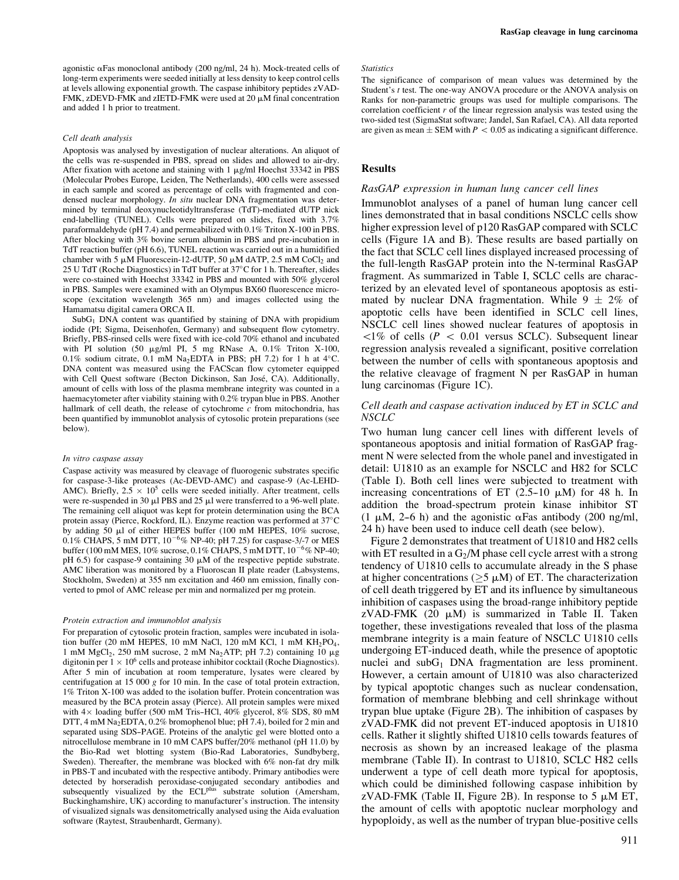agonistic aFas monoclonal antibody (200 ng/ml, 24 h). Mock-treated cells of long-term experiments were seeded initially at less density to keep control cells at levels allowing exponential growth. The caspase inhibitory peptides zVAD-FMK, zDEVD-FMK and zIETD-FMK were used at 20  $\mu$ M final concentration and added 1 h prior to treatment.

#### Cell death analysis

Apoptosis was analysed by investigation of nuclear alterations. An aliquot of the cells was re-suspended in PBS, spread on slides and allowed to air-dry. After fixation with acetone and staining with  $1 \mu g/ml$  Hoechst 33342 in PBS (Molecular Probes Europe, Leiden, The Netherlands), 400 cells were assessed in each sample and scored as percentage of cells with fragmented and condensed nuclear morphology. In situ nuclear DNA fragmentation was determined by terminal deoxynucleotidyltransferase (TdT)-mediated dUTP nick end-labelling (TUNEL). Cells were prepared on slides, fixed with 3.7% paraformaldehyde (pH 7.4) and permeabilized with 0.1% Triton X-100 in PBS. After blocking with 3% bovine serum albumin in PBS and pre-incubation in TdT reaction buffer (pH 6.6), TUNEL reaction was carried out in a humidified chamber with 5  $\mu$ M Fluorescein-12-dUTP, 50  $\mu$ M dATP, 2.5 mM CoCl<sub>2</sub> and 25 U TdT (Roche Diagnostics) in TdT buffer at  $37^{\circ}$ C for 1 h. Thereafter, slides were co-stained with Hoechst 33342 in PBS and mounted with 50% glycerol in PBS. Samples were examined with an Olympus BX60 fluorescence microscope (excitation wavelength 365 nm) and images collected using the Hamamatsu digital camera ORCA II.

SubG<sub>1</sub> DNA content was quantified by staining of DNA with propidium iodide (PI; Sigma, Deisenhofen, Germany) and subsequent flow cytometry. Briefly, PBS-rinsed cells were fixed with ice-cold 70% ethanol and incubated with PI solution (50 µg/ml PI, 5 mg RNase A, 0.1% Triton X-100, 0.1% sodium citrate, 0.1 mM Na<sub>2</sub>EDTA in PBS; pH 7.2) for 1 h at 4°C. DNA content was measured using the FACScan flow cytometer equipped with Cell Quest software (Becton Dickinson, San José, CA). Additionally, amount of cells with loss of the plasma membrane integrity was counted in a haemacytometer after viability staining with 0.2% trypan blue in PBS. Another hallmark of cell death, the release of cytochrome  $c$  from mitochondria, has been quantified by immunoblot analysis of cytosolic protein preparations (see below).

#### In vitro caspase assay

Caspase activity was measured by cleavage of fluorogenic substrates specific for caspase-3-like proteases (Ac-DEVD-AMC) and caspase-9 (Ac-LEHD-AMC). Briefly,  $2.5 \times 10^5$  cells were seeded initially. After treatment, cells were re-suspended in 30  $\mu$ l PBS and 25  $\mu$ l were transferred to a 96-well plate. The remaining cell aliquot was kept for protein determination using the BCA protein assay (Pierce, Rockford, IL). Enzyme reaction was performed at  $37^{\circ}$ C by adding 50  $\mu$ l of either HEPES buffer (100 mM HEPES, 10% sucrose, 0.1% CHAPS, 5 mM DTT,  $10^{-6}$ % NP-40; pH 7.25) for caspase-3/-7 or MES buffer (100 mM MES, 10% sucrose, 0.1% CHAPS, 5 mM DTT,  $10^{-6}$ % NP-40; pH 6.5) for caspase-9 containing 30  $\mu$ M of the respective peptide substrate. AMC liberation was monitored by a Fluoroscan II plate reader (Labsystems, Stockholm, Sweden) at 355 nm excitation and 460 nm emission, finally converted to pmol of AMC release per min and normalized per mg protein.

#### Protein extraction and immunoblot analysis

For preparation of cytosolic protein fraction, samples were incubated in isolation buffer (20 mM HEPES, 10 mM NaCl, 120 mM KCl, 1 mM KH<sub>2</sub>PO<sub>4</sub>, 1 mM  $MgCl<sub>2</sub>$ , 250 mM sucrose, 2 mM  $Na<sub>2</sub>ATP$ ; pH 7.2) containing 10  $\mu$ g digitonin per  $1 \times 10^6$  cells and protease inhibitor cocktail (Roche Diagnostics). After 5 min of incubation at room temperature, lysates were cleared by centrifugation at 15 000  $g$  for 10 min. In the case of total protein extraction, 1% Triton X-100 was added to the isolation buffer. Protein concentration was measured by the BCA protein assay (Pierce). All protein samples were mixed with  $4 \times$  loading buffer (500 mM Tris-HCl,  $40\%$  glycerol,  $8\%$  SDS,  $80$  mM DTT,  $4 \text{ mM Na}_2$ EDTA,  $0.2\%$  bromophenol blue; pH 7.4), boiled for 2 min and separated using SDS-PAGE. Proteins of the analytic gel were blotted onto a nitrocellulose membrane in 10 mM CAPS buffer/20% methanol (pH 11.0) by the Bio-Rad wet blotting system (Bio-Rad Laboratories, Sundbyberg, Sweden). Thereafter, the membrane was blocked with 6% non-fat dry milk in PBS-T and incubated with the respective antibody. Primary antibodies were detected by horseradish peroxidase-conjugated secondary antibodies and subsequently visualized by the ECL<sup>plus</sup> substrate solution (Amersham, Buckinghamshire, UK) according to manufacturer's instruction. The intensity of visualized signals was densitometrically analysed using the Aida evaluation software (Raytest, Straubenhardt, Germany).

#### **Statistics**

The significance of comparison of mean values was determined by the Student's t test. The one-way ANOVA procedure or the ANOVA analysis on Ranks for non-parametric groups was used for multiple comparisons. The correlation coefficient  $r$  of the linear regression analysis was tested using the two-sided test (SigmaStat software; Jandel, San Rafael, CA). All data reported are given as mean  $\pm$  SEM with  $P < 0.05$  as indicating a significant difference.

### Results

### RasGAP expression in human lung cancer cell lines

Immunoblot analyses of a panel of human lung cancer cell lines demonstrated that in basal conditions NSCLC cells show higher expression level of p120 RasGAP compared with SCLC cells (Figure 1A and B). These results are based partially on the fact that SCLC cell lines displayed increased processing of the full-length RasGAP protein into the N-terminal RasGAP fragment. As summarized in Table I, SCLC cells are characterized by an elevated level of spontaneous apoptosis as estimated by nuclear DNA fragmentation. While  $9 \pm 2\%$  of apoptotic cells have been identified in SCLC cell lines, NSCLC cell lines showed nuclear features of apoptosis in  $51\%$  of cells (P  $\lt$  0.01 versus SCLC). Subsequent linear regression analysis revealed a significant, positive correlation between the number of cells with spontaneous apoptosis and the relative cleavage of fragment N per RasGAP in human lung carcinomas (Figure 1C).

# Cell death and caspase activation induced by ET in SCLC and NSCLC

Two human lung cancer cell lines with different levels of spontaneous apoptosis and initial formation of RasGAP fragment N were selected from the whole panel and investigated in detail: U1810 as an example for NSCLC and H82 for SCLC (Table I). Both cell lines were subjected to treatment with increasing concentrations of ET  $(2.5-10 \mu M)$  for 48 h. In addition the broad-spectrum protein kinase inhibitor ST (1  $\mu$ M, 2-6 h) and the agonistic  $\alpha$ Fas antibody (200 ng/ml, 24 h) have been used to induce cell death (see below).

Figure 2 demonstrates that treatment of U1810 and H82 cells with ET resulted in a  $G_2/M$  phase cell cycle arrest with a strong tendency of U1810 cells to accumulate already in the S phase at higher concentrations ( $>5 \mu M$ ) of ET. The characterization of cell death triggered by ET and its influence by simultaneous inhibition of caspases using the broad-range inhibitory peptide  $ZVAD-FMK$  (20  $\mu$ M) is summarized in Table II. Taken together, these investigations revealed that loss of the plasma membrane integrity is a main feature of NSCLC U1810 cells undergoing ET-induced death, while the presence of apoptotic nuclei and  $subG<sub>1</sub>$  DNA fragmentation are less prominent. However, a certain amount of U1810 was also characterized by typical apoptotic changes such as nuclear condensation, formation of membrane blebbing and cell shrinkage without trypan blue uptake (Figure 2B). The inhibition of caspases by zVAD-FMK did not prevent ET-induced apoptosis in U1810 cells. Rather it slightly shifted U1810 cells towards features of necrosis as shown by an increased leakage of the plasma membrane (Table II). In contrast to U1810, SCLC H82 cells underwent a type of cell death more typical for apoptosis, which could be diminished following caspase inhibition by zVAD-FMK (Table II, Figure 2B). In response to 5  $\mu$ M ET, the amount of cells with apoptotic nuclear morphology and hypoploidy, as well as the number of trypan blue-positive cells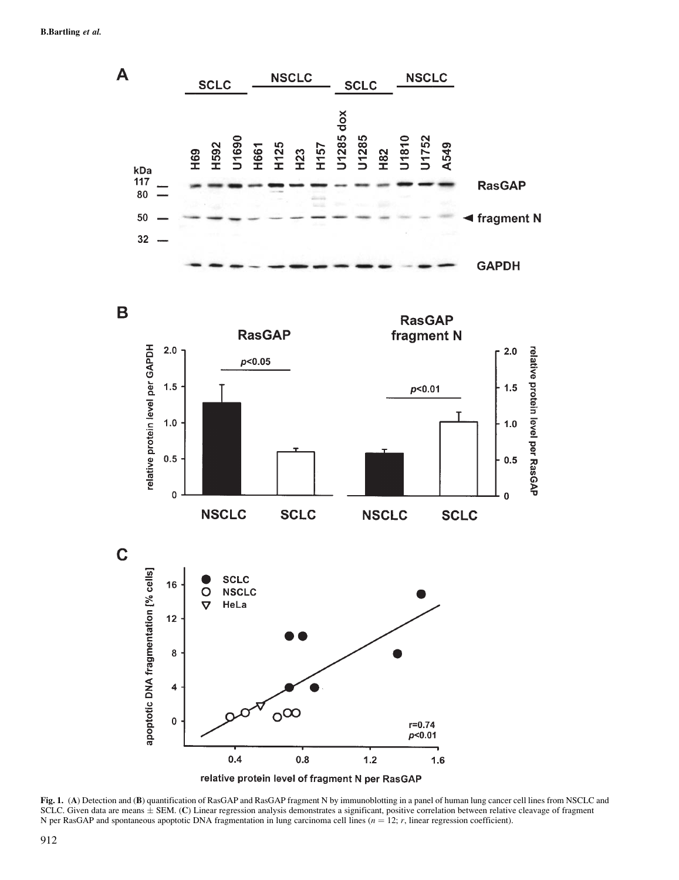







Fig. 1. (A) Detection and (B) quantification of RasGAP and RasGAP fragment N by immunoblotting in a panel of human lung cancer cell lines from NSCLC and  $SCLC$ . Given data are means  $\pm$  SEM. (C) Linear regression analysis demonstrates a significant, positive correlation between relative cleavage of fragment N per RasGAP and spontaneous apoptotic DNA fragmentation in lung carcinoma cell lines ( $n = 12$ ;  $r$ , linear regression coefficient).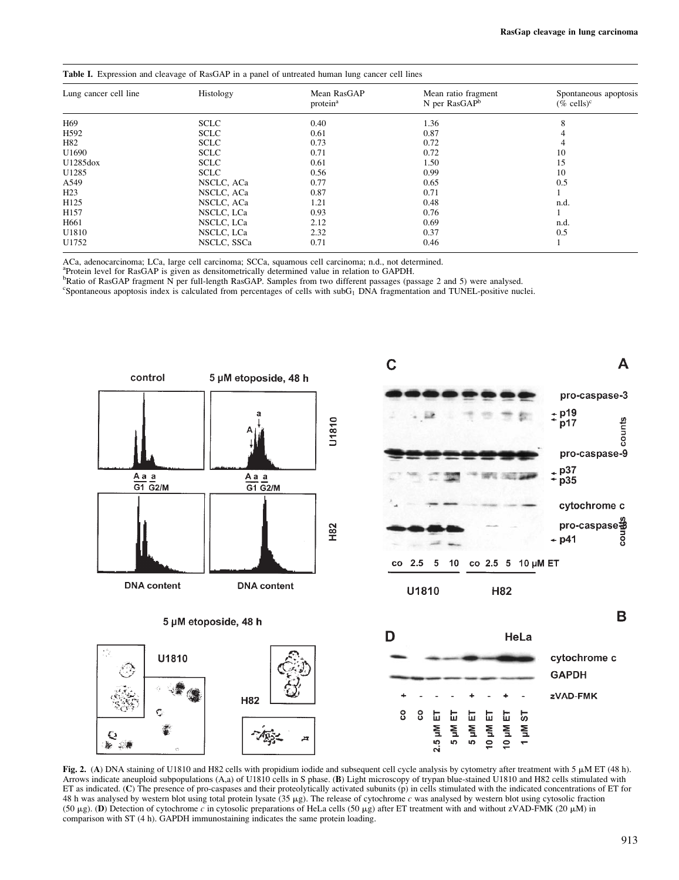Table I. Expression and cleavage of RasGAP in a panel of untreated human lung cancer cell lines

| Lung cancer cell line | Histology   | Mean RasGAP<br>protein <sup>a</sup> | Mean ratio fragment<br>N per RasGAP <sup>b</sup> | Spontaneous apoptosis<br>$(\%$ cells) <sup>c</sup> |
|-----------------------|-------------|-------------------------------------|--------------------------------------------------|----------------------------------------------------|
|                       |             |                                     |                                                  |                                                    |
| H69                   | <b>SCLC</b> | 0.40                                | 1.36                                             | 8                                                  |
| H <sub>592</sub>      | <b>SCLC</b> | 0.61                                | 0.87                                             |                                                    |
| H82                   | <b>SCLC</b> | 0.73                                | 0.72                                             |                                                    |
| U1690                 | <b>SCLC</b> | 0.71                                | 0.72                                             | 10                                                 |
| U1285dox              | <b>SCLC</b> | 0.61                                | 1.50                                             | 15                                                 |
| U1285                 | <b>SCLC</b> | 0.56                                | 0.99                                             | 10                                                 |
| A549                  | NSCLC, ACa  | 0.77                                | 0.65                                             | 0.5                                                |
| H <sub>23</sub>       | NSCLC, ACa  | 0.87                                | 0.71                                             |                                                    |
| H125                  | NSCLC, ACa  | 1.21                                | 0.48                                             | n.d.                                               |
| H157                  | NSCLC, LCa  | 0.93                                | 0.76                                             |                                                    |
| H <sub>661</sub>      | NSCLC, LCa  | 2.12                                | 0.69                                             | n.d.                                               |
| U1810                 | NSCLC, LCa  | 2.32                                | 0.37                                             | 0.5                                                |
| U1752                 | NSCLC, SSCa | 0.71                                | 0.46                                             |                                                    |

ACa, adenocarcinoma; LCa, large cell carcinoma; SCCa, squamous cell carcinoma; n.d., not determined.

<sup>a</sup>Protein level for RasGAP is given as densitometrically determined value in relation to GAPDH.

 ${}^{\text{b}}$ Ratio of RasGAP fragment N per full-length RasGAP. Samples from two different passages (passage 2 and 5) were analysed.

Spontaneous apoptosis index is calculated from percentages of cells with subG1 DNA fragmentation and TUNEL-positive nuclei.



Fig. 2. (A) DNA staining of U1810 and H82 cells with propidium iodide and subsequent cell cycle analysis by cytometry after treatment with 5  $\mu$ M ET (48 h). Arrows indicate aneuploid subpopulations (A,a) of U1810 cells in S phase. (B) Light microscopy of trypan blue-stained U1810 and H82 cells stimulated with ET as indicated. (C) The presence of pro-caspases and their proteolytically activated subunits (p) in cells stimulated with the indicated concentrations of ET for 48 h was analysed by western blot using total protein lysate (35  $\mu$ g). The release of cytochrome c was analysed by western blot using cytosolic fraction (50  $\mu$ g). (D) Detection of cytochrome c in cytosolic preparations of HeLa cells (50  $\mu$ g) after ET treatment with and without zVAD-FMK (20  $\mu$ M) in comparison with ST (4 h). GAPDH immunostaining indicates the same protein loading.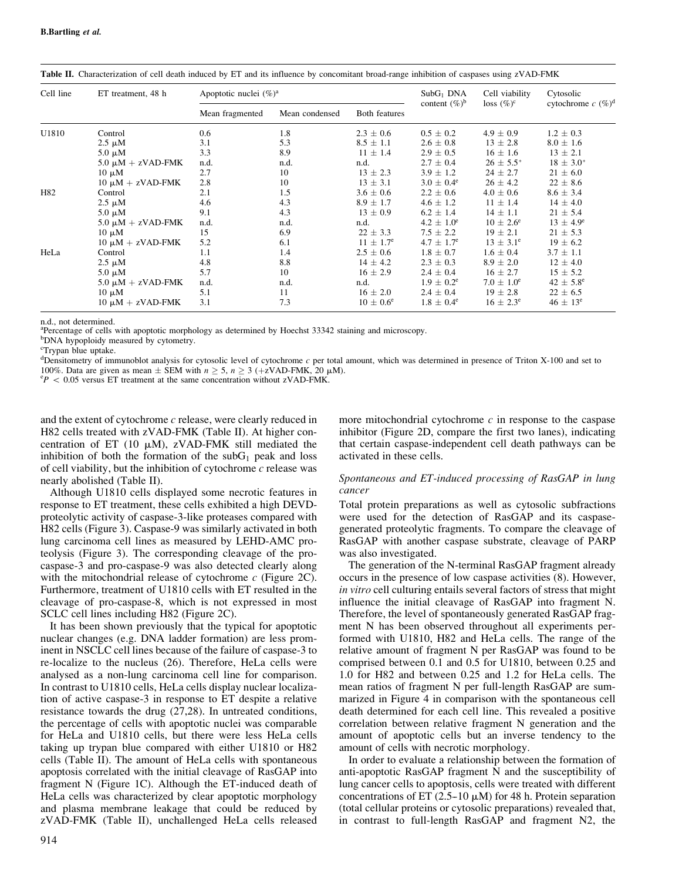| Cell line | ET treatment, 48 h      | Apoptotic nuclei $(\%)^a$ |                |                | SubG <sub>1</sub> DNA | Cell viability       | Cytosolic               |
|-----------|-------------------------|---------------------------|----------------|----------------|-----------------------|----------------------|-------------------------|
|           |                         | Mean fragmented           | Mean condensed | Both features  | content $(\%)^b$      | $loss (\%)^c$        | cytochrome $c$ $(\%)^d$ |
| U1810     | Control                 | 0.6                       | 1.8            | $2.3 \pm 0.6$  | $0.5 \pm 0.2$         | $4.9 \pm 0.9$        | $1.2 \pm 0.3$           |
|           | $2.5 \mu M$             | 3.1                       | 5.3            | $8.5 \pm 1.1$  | $2.6 \pm 0.8$         | $13 \pm 2.8$         | $8.0 \pm 1.6$           |
|           | $5.0 \mu M$             | 3.3                       | 8.9            | $11 \pm 1.4$   | $2.9 \pm 0.5$         | $16 \pm 1.6$         | $13 \pm 2.1$            |
|           | $5.0 \mu M + zVAD$ -FMK | n.d.                      | n.d.           | n.d.           | $2.7 \pm 0.4$         | $26 \pm 5.5^*$       | $18 \pm 3.0^*$          |
|           | $10 \mu M$              | 2.7                       | 10             | $13 \pm 2.3$   | $3.9 \pm 1.2$         | $24 \pm 2.7$         | $21 \pm 6.0$            |
|           | $10 \mu M + zVAD$ -FMK  | 2.8                       | 10             | $13 \pm 3.1$   | $3.0 \pm 0.4^e$       | $26 \pm 4.2$         | $22 \pm 8.6$            |
| H82       | Control                 | 2.1                       | 1.5            | $3.6 \pm 0.6$  | $2.2 \pm 0.6$         | $4.0 \pm 0.6$        | $8.6 \pm 3.4$           |
|           | $2.5 \mu M$             | 4.6                       | 4.3            | $8.9 \pm 1.7$  | $4.6 \pm 1.2$         | $11 \pm 1.4$         | $14 \pm 4.0$            |
|           | $5.0 \mu M$             | 9.1                       | 4.3            | $13 \pm 0.9$   | $6.2 \pm 1.4$         | $14 \pm 1.1$         | $21 \pm 5.4$            |
|           | $5.0 \mu M + zVAD$ -FMK | n.d.                      | n.d.           | n.d.           | $4.2 \pm 1.0^e$       | $10 \pm 2.6^{\circ}$ | $13 \pm 4.9^e$          |
|           | $10 \mu M$              | 15                        | 6.9            | $22 \pm 3.3$   | $7.5 \pm 2.2$         | $19 \pm 2.1$         | $21 \pm 5.3$            |
|           | $10 \mu M + zVAD$ -FMK  | 5.2                       | 6.1            | $11 \pm 1.7^e$ | $4.7 \pm 1.7^e$       | $13 \pm 3.1^e$       | $19 \pm 6.2$            |
| HeLa      | Control                 | 1.1                       | 1.4            | $2.5 \pm 0.6$  | $1.8 \pm 0.7$         | $1.6 \pm 0.4$        | $3.7 \pm 1.1$           |
|           | $2.5 \mu M$             | 4.8                       | 8.8            | $14 \pm 4.2$   | $2.3 \pm 0.3$         | $8.9 \pm 2.0$        | $12 \pm 4.0$            |
|           | $5.0 \mu M$             | 5.7                       | 10             | $16 \pm 2.9$   | $2.4 \pm 0.4$         | $16 \pm 2.7$         | $15 \pm 5.2$            |
|           | $5.0 \mu M + zVAD$ -FMK | n.d.                      | n.d.           | n.d.           | $1.9 \pm 0.2^e$       | $7.0 \pm 1.0^e$      | $42 \pm 5.8^{\circ}$    |
|           | $10 \mu M$              | 5.1                       | 11             | $16 \pm 2.0$   | $2.4 \pm 0.4$         | $19 \pm 2.8$         | $22 \pm 6.5$            |
|           | $10 \mu M + zVAD$ -FMK  | 3.1                       | 7.3            | $10 \pm 0.6^e$ | $1.8 \pm 0.4^e$       | $16 \pm 2.3^e$       | $46 \pm 13^e$           |

Table II. Characterization of cell death induced by ET and its influence by concomitant broad-range inhibition of caspases using zVAD-FMK

n.d., not determined.

<sup>a</sup>Percentage of cells with apoptotic morphology as determined by Hoechst 33342 staining and microscopy.

<sup>b</sup>DNA hypoploidy measured by cytometry.

<sup>c</sup>Trypan blue uptake.

<sup>d</sup>Densitometry of immunoblot analysis for cytosolic level of cytochrome  $c$  per total amount, which was determined in presence of Triton X-100 and set to 100%. Data are given as mean  $\pm$  SEM with  $n > 5$ ,  $n > 3$  ( $\pm$ zVAD-FMK, 20  $\mu$ M).

 $\rm^e P$   $\rm <$  0.05 versus ET treatment at the same concentration without zVAD-FMK.

and the extent of cytochrome c release, were clearly reduced in H82 cells treated with zVAD-FMK (Table II). At higher concentration of ET (10  $\mu$ M), zVAD-FMK still mediated the inhibition of both the formation of the sub $G_1$  peak and loss of cell viability, but the inhibition of cytochrome  $c$  release was nearly abolished (Table II).

Although U1810 cells displayed some necrotic features in response to ET treatment, these cells exhibited a high DEVDproteolytic activity of caspase-3-like proteases compared with H82 cells (Figure 3). Caspase-9 was similarly activated in both lung carcinoma cell lines as measured by LEHD-AMC proteolysis (Figure 3). The corresponding cleavage of the procaspase-3 and pro-caspase-9 was also detected clearly along with the mitochondrial release of cytochrome  $c$  (Figure 2C). Furthermore, treatment of U1810 cells with ET resulted in the cleavage of pro-caspase-8, which is not expressed in most SCLC cell lines including H82 (Figure 2C).

It has been shown previously that the typical for apoptotic nuclear changes (e.g. DNA ladder formation) are less prominent in NSCLC cell lines because of the failure of caspase-3 to re-localize to the nucleus (26). Therefore, HeLa cells were analysed as a non-lung carcinoma cell line for comparison. In contrast to U1810 cells, HeLa cells display nuclear localization of active caspase-3 in response to ET despite a relative resistance towards the drug (27,28). In untreated conditions, the percentage of cells with apoptotic nuclei was comparable for HeLa and U1810 cells, but there were less HeLa cells taking up trypan blue compared with either U1810 or H82 cells (Table II). The amount of HeLa cells with spontaneous apoptosis correlated with the initial cleavage of RasGAP into fragment N (Figure 1C). Although the ET-induced death of HeLa cells was characterized by clear apoptotic morphology and plasma membrane leakage that could be reduced by zVAD-FMK (Table II), unchallenged HeLa cells released

more mitochondrial cytochrome  $c$  in response to the caspase inhibitor (Figure 2D, compare the first two lanes), indicating that certain caspase-independent cell death pathways can be activated in these cells.

# Spontaneous and ET-induced processing of RasGAP in lung cancer

Total protein preparations as well as cytosolic subfractions were used for the detection of RasGAP and its caspasegenerated proteolytic fragments. To compare the cleavage of RasGAP with another caspase substrate, cleavage of PARP was also investigated.

The generation of the N-terminal RasGAP fragment already occurs in the presence of low caspase activities (8). However, in vitro cell culturing entails several factors of stress that might influence the initial cleavage of RasGAP into fragment N. Therefore, the level of spontaneously generated RasGAP fragment N has been observed throughout all experiments performed with U1810, H82 and HeLa cells. The range of the relative amount of fragment N per RasGAP was found to be comprised between 0.1 and 0.5 for U1810, between 0.25 and 1.0 for H82 and between 0.25 and 1.2 for HeLa cells. The mean ratios of fragment N per full-length RasGAP are summarized in Figure 4 in comparison with the spontaneous cell death determined for each cell line. This revealed a positive correlation between relative fragment N generation and the amount of apoptotic cells but an inverse tendency to the amount of cells with necrotic morphology.

In order to evaluate a relationship between the formation of anti-apoptotic RasGAP fragment N and the susceptibility of lung cancer cells to apoptosis, cells were treated with different concentrations of ET (2.5–10  $\mu$ M) for 48 h. Protein separation (total cellular proteins or cytosolic preparations) revealed that, in contrast to full-length RasGAP and fragment N2, the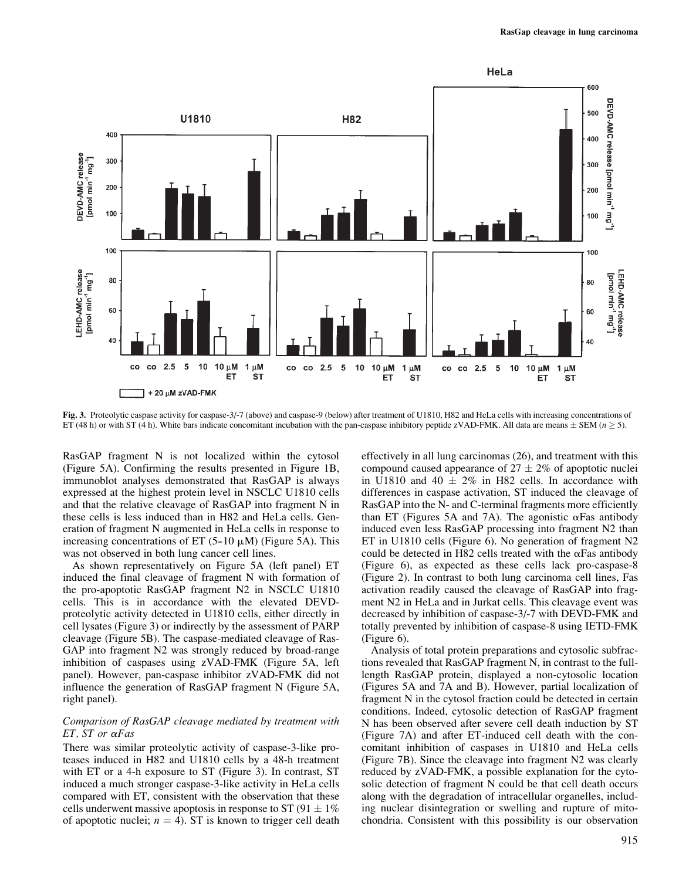

Fig. 3. Proteolytic caspase activity for caspase-3/-7 (above) and caspase-9 (below) after treatment of U1810, H82 and HeLa cells with increasing concentrations of ET (48 h) or with ST (4 h). White bars indicate concomitant incubation with the pan-caspase inhibitory peptide zVAD-FMK. All data are means  $\pm$  SEM ( $n \geq 5$ ).

RasGAP fragment N is not localized within the cytosol (Figure 5A). Confirming the results presented in Figure 1B, immunoblot analyses demonstrated that RasGAP is always expressed at the highest protein level in NSCLC U1810 cells and that the relative cleavage of RasGAP into fragment N in these cells is less induced than in H82 and HeLa cells. Generation of fragment N augmented in HeLa cells in response to increasing concentrations of ET  $(5-10 \mu M)$  (Figure 5A). This was not observed in both lung cancer cell lines.

As shown representatively on Figure 5A (left panel) ET induced the final cleavage of fragment N with formation of the pro-apoptotic RasGAP fragment N2 in NSCLC U1810 cells. This is in accordance with the elevated DEVDproteolytic activity detected in U1810 cells, either directly in cell lysates (Figure 3) or indirectly by the assessment of PARP cleavage (Figure 5B). The caspase-mediated cleavage of Ras-GAP into fragment N2 was strongly reduced by broad-range inhibition of caspases using zVAD-FMK (Figure 5A, left panel). However, pan-caspase inhibitor zVAD-FMK did not influence the generation of RasGAP fragment N (Figure 5A, right panel).

# Comparison of RasGAP cleavage mediated by treatment with  $ET$ , ST or  $\alpha F$ as

There was similar proteolytic activity of caspase-3-like proteases induced in H82 and U1810 cells by a 48-h treatment with ET or a 4-h exposure to ST (Figure 3). In contrast, ST induced a much stronger caspase-3-like activity in HeLa cells compared with ET, consistent with the observation that these cells underwent massive apoptosis in response to ST (91  $\pm$  1%) of apoptotic nuclei;  $n = 4$ ). ST is known to trigger cell death

effectively in all lung carcinomas (26), and treatment with this compound caused appearance of  $27 \pm 2\%$  of apoptotic nuclei in U1810 and 40  $\pm$  2% in H82 cells. In accordance with differences in caspase activation, ST induced the cleavage of RasGAP into the N- and C-terminal fragments more efficiently than ET (Figures 5A and 7A). The agonistic  $\alpha$ Fas antibody induced even less RasGAP processing into fragment N2 than ET in U1810 cells (Figure 6). No generation of fragment N2 could be detected in H82 cells treated with the  $\alpha$ Fas antibody (Figure 6), as expected as these cells lack pro-caspase-8 (Figure 2). In contrast to both lung carcinoma cell lines, Fas activation readily caused the cleavage of RasGAP into fragment N2 in HeLa and in Jurkat cells. This cleavage event was decreased by inhibition of caspase-3/-7 with DEVD-FMK and totally prevented by inhibition of caspase-8 using IETD-FMK (Figure 6).

Analysis of total protein preparations and cytosolic subfractions revealed that RasGAP fragment N, in contrast to the fulllength RasGAP protein, displayed a non-cytosolic location (Figures 5A and 7A and B). However, partial localization of fragment N in the cytosol fraction could be detected in certain conditions. Indeed, cytosolic detection of RasGAP fragment N has been observed after severe cell death induction by ST (Figure 7A) and after ET-induced cell death with the concomitant inhibition of caspases in U1810 and HeLa cells (Figure 7B). Since the cleavage into fragment N2 was clearly reduced by zVAD-FMK, a possible explanation for the cytosolic detection of fragment N could be that cell death occurs along with the degradation of intracellular organelles, including nuclear disintegration or swelling and rupture of mitochondria. Consistent with this possibility is our observation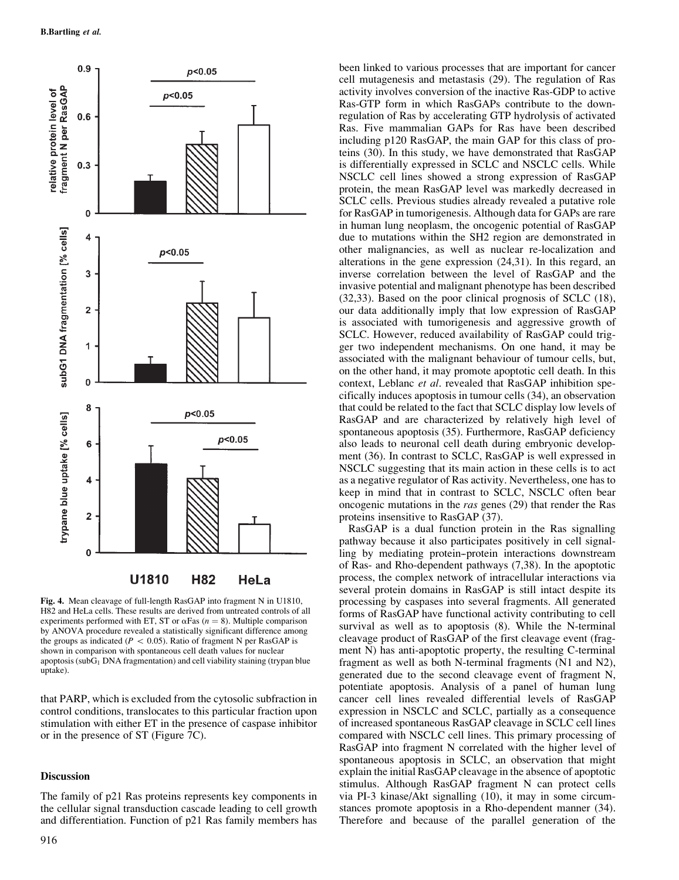

Fig. 4. Mean cleavage of full-length RasGAP into fragment N in U1810, H82 and HeLa cells. These results are derived from untreated controls of all experiments performed with ET, ST or  $\alpha$ Fas ( $n = 8$ ). Multiple comparison by ANOVA procedure revealed a statistically significant difference among the groups as indicated ( $P < 0.05$ ). Ratio of fragment N per RasGAP is shown in comparison with spontaneous cell death values for nuclear apoptosis (sub $G_1$  DNA fragmentation) and cell viability staining (trypan blue uptake).

that PARP, which is excluded from the cytosolic subfraction in control conditions, translocates to this particular fraction upon stimulation with either ET in the presence of caspase inhibitor or in the presence of ST (Figure 7C).

## Discussion

The family of p21 Ras proteins represents key components in the cellular signal transduction cascade leading to cell growth and differentiation. Function of p21 Ras family members has been linked to various processes that are important for cancer cell mutagenesis and metastasis (29). The regulation of Ras activity involves conversion of the inactive Ras-GDP to active Ras-GTP form in which RasGAPs contribute to the downregulation of Ras by accelerating GTP hydrolysis of activated Ras. Five mammalian GAPs for Ras have been described including p120 RasGAP, the main GAP for this class of proteins (30). In this study, we have demonstrated that RasGAP is differentially expressed in SCLC and NSCLC cells. While NSCLC cell lines showed a strong expression of RasGAP protein, the mean RasGAP level was markedly decreased in SCLC cells. Previous studies already revealed a putative role for RasGAP in tumorigenesis. Although data for GAPs are rare in human lung neoplasm, the oncogenic potential of RasGAP due to mutations within the SH2 region are demonstrated in other malignancies, as well as nuclear re-localization and alterations in the gene expression (24,31). In this regard, an inverse correlation between the level of RasGAP and the invasive potential and malignant phenotype has been described (32,33). Based on the poor clinical prognosis of SCLC (18), our data additionally imply that low expression of RasGAP is associated with tumorigenesis and aggressive growth of SCLC. However, reduced availability of RasGAP could trigger two independent mechanisms. On one hand, it may be associated with the malignant behaviour of tumour cells, but, on the other hand, it may promote apoptotic cell death. In this context, Leblanc *et al.* revealed that RasGAP inhibition specifically induces apoptosis in tumour cells (34), an observation that could be related to the fact that SCLC display low levels of RasGAP and are characterized by relatively high level of spontaneous apoptosis (35). Furthermore, RasGAP deficiency also leads to neuronal cell death during embryonic development (36). In contrast to SCLC, RasGAP is well expressed in NSCLC suggesting that its main action in these cells is to act as a negative regulator of Ras activity. Nevertheless, one has to keep in mind that in contrast to SCLC, NSCLC often bear oncogenic mutations in the ras genes (29) that render the Ras proteins insensitive to RasGAP (37).

RasGAP is a dual function protein in the Ras signalling pathway because it also participates positively in cell signalling by mediating protein--protein interactions downstream of Ras- and Rho-dependent pathways (7,38). In the apoptotic process, the complex network of intracellular interactions via several protein domains in RasGAP is still intact despite its processing by caspases into several fragments. All generated forms of RasGAP have functional activity contributing to cell survival as well as to apoptosis (8). While the N-terminal cleavage product of RasGAP of the first cleavage event (fragment N) has anti-apoptotic property, the resulting C-terminal fragment as well as both N-terminal fragments (N1 and N2), generated due to the second cleavage event of fragment N, potentiate apoptosis. Analysis of a panel of human lung cancer cell lines revealed differential levels of RasGAP expression in NSCLC and SCLC, partially as a consequence of increased spontaneous RasGAP cleavage in SCLC cell lines compared with NSCLC cell lines. This primary processing of RasGAP into fragment N correlated with the higher level of spontaneous apoptosis in SCLC, an observation that might explain the initial RasGAP cleavage in the absence of apoptotic stimulus. Although RasGAP fragment N can protect cells via PI-3 kinase/Akt signalling (10), it may in some circumstances promote apoptosis in a Rho-dependent manner (34). Therefore and because of the parallel generation of the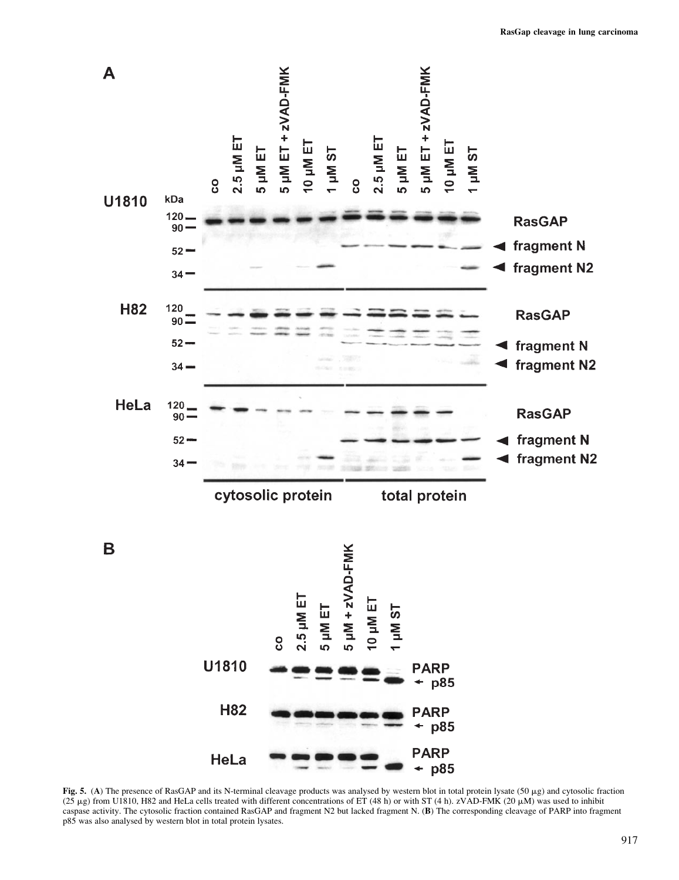

Fig. 5. (A) The presence of RasGAP and its N-terminal cleavage products was analysed by western blot in total protein lysate (50  $\mu$ g) and cytosolic fraction  $(25 \mu g)$  from U1810, H82 and HeLa cells treated with different concentrations of ET (48 h) or with ST (4 h), zVAD-FMK (20  $\mu$ M) was used to inhibit caspase activity. The cytosolic fraction contained RasGAP and fragment N2 but lacked fragment N. (B) The corresponding cleavage of PARP into fragment p85 was also analysed by western blot in total protein lysates.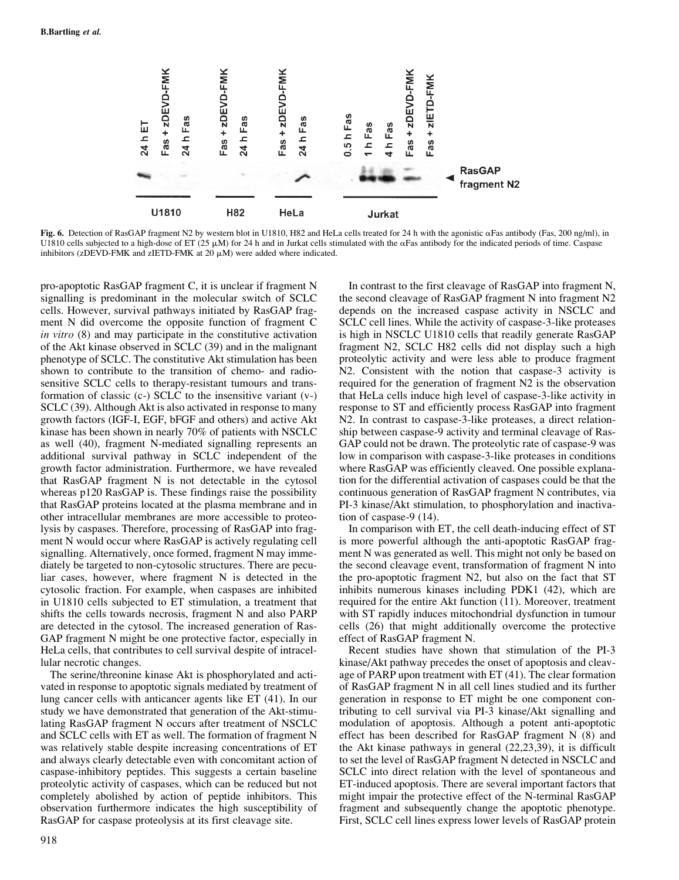

Fig. 6. Detection of RasGAP fragment N2 by western blot in U1810, H82 and HeLa cells treated for 24 h with the agonistic  $\alpha$ Fas antibody (Fas, 200 ng/ml), in U1810 cells subjected to a high-dose of ET (25  $\mu$ M) for 24 h and in Jurkat cells stimulated with the  $\alpha$ Fas antibody for the indicated periods of time. Caspase inhibitors (zDEVD-FMK and zIETD-FMK at 20  $\mu$ M) were added where indicated.

pro-apoptotic RasGAP fragment C, it is unclear if fragment N signalling is predominant in the molecular switch of SCLC cells. However, survival pathways initiated by RasGAP fragment N did overcome the opposite function of fragment C in vitro (8) and may participate in the constitutive activation of the Akt kinase observed in SCLC (39) and in the malignant phenotype of SCLC. The constitutive Akt stimulation has been shown to contribute to the transition of chemo- and radiosensitive SCLC cells to therapy-resistant tumours and transformation of classic (c-) SCLC to the insensitive variant (v-) SCLC (39). Although Akt is also activated in response to many growth factors (IGF-I, EGF, bFGF and others) and active Akt kinase has been shown in nearly 70% of patients with NSCLC as well (40), fragment N-mediated signalling represents an additional survival pathway in SCLC independent of the growth factor administration. Furthermore, we have revealed that RasGAP fragment N is not detectable in the cytosol whereas p120 RasGAP is. These findings raise the possibility that RasGAP proteins located at the plasma membrane and in other intracellular membranes are more accessible to proteolysis by caspases. Therefore, processing of RasGAP into fragment N would occur where RasGAP is actively regulating cell signalling. Alternatively, once formed, fragment N may immediately be targeted to non-cytosolic structures. There are peculiar cases, however, where fragment N is detected in the cytosolic fraction. For example, when caspases are inhibited in U1810 cells subjected to ET stimulation, a treatment that shifts the cells towards necrosis, fragment N and also PARP are detected in the cytosol. The increased generation of Ras-GAP fragment N might be one protective factor, especially in HeLa cells, that contributes to cell survival despite of intracellular necrotic changes.

The serine/threonine kinase Akt is phosphorylated and activated in response to apoptotic signals mediated by treatment of lung cancer cells with anticancer agents like ET (41). In our study we have demonstrated that generation of the Akt-stimulating RasGAP fragment N occurs after treatment of NSCLC and SCLC cells with ET as well. The formation of fragment N was relatively stable despite increasing concentrations of ET and always clearly detectable even with concomitant action of caspase-inhibitory peptides. This suggests a certain baseline proteolytic activity of caspases, which can be reduced but not completely abolished by action of peptide inhibitors. This observation furthermore indicates the high susceptibility of RasGAP for caspase proteolysis at its first cleavage site.

In contrast to the first cleavage of RasGAP into fragment N, the second cleavage of RasGAP fragment N into fragment N2 depends on the increased caspase activity in NSCLC and SCLC cell lines. While the activity of caspase-3-like proteases is high in NSCLC U1810 cells that readily generate RasGAP fragment N2, SCLC H82 cells did not display such a high proteolytic activity and were less able to produce fragment N2. Consistent with the notion that caspase-3 activity is required for the generation of fragment N2 is the observation that HeLa cells induce high level of caspase-3-like activity in response to ST and efficiently process RasGAP into fragment N2. In contrast to caspase-3-like proteases, a direct relationship between caspase-9 activity and terminal cleavage of Ras-GAP could not be drawn. The proteolytic rate of caspase-9 was low in comparison with caspase-3-like proteases in conditions where RasGAP was efficiently cleaved. One possible explanation for the differential activation of caspases could be that the continuous generation of RasGAP fragment N contributes, via PI-3 kinase/Akt stimulation, to phosphorylation and inactivation of caspase-9 (14).

In comparison with ET, the cell death-inducing effect of ST is more powerful although the anti-apoptotic RasGAP fragment N was generated as well. This might not only be based on the second cleavage event, transformation of fragment N into the pro-apoptotic fragment N2, but also on the fact that ST inhibits numerous kinases including PDK1 (42), which are required for the entire Akt function (11). Moreover, treatment with ST rapidly induces mitochondrial dysfunction in tumour cells (26) that might additionally overcome the protective effect of RasGAP fragment N.

Recent studies have shown that stimulation of the PI-3 kinase/Akt pathway precedes the onset of apoptosis and cleavage of PARP upon treatment with ET (41). The clear formation of RasGAP fragment N in all cell lines studied and its further generation in response to ET might be one component contributing to cell survival via PI-3 kinase/Akt signalling and modulation of apoptosis. Although a potent anti-apoptotic effect has been described for RasGAP fragment N (8) and the Akt kinase pathways in general (22,23,39), it is difficult to set the level of RasGAP fragment N detected in NSCLC and SCLC into direct relation with the level of spontaneous and ET-induced apoptosis. There are several important factors that might impair the protective effect of the N-terminal RasGAP fragment and subsequently change the apoptotic phenotype. First, SCLC cell lines express lower levels of RasGAP protein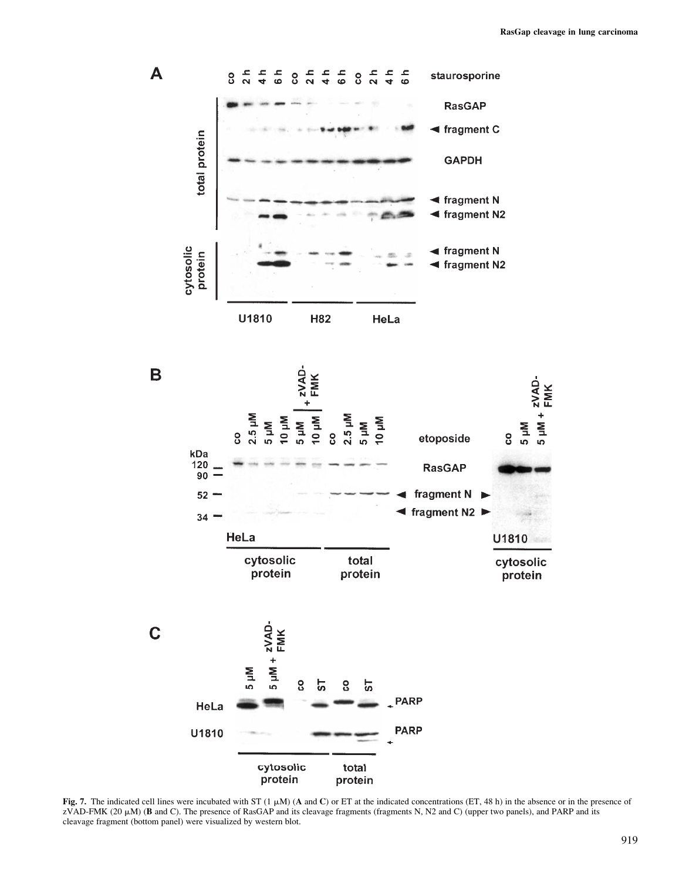

Fig. 7. The indicated cell lines were incubated with ST (1  $\mu$ M) (A and C) or ET at the indicated concentrations (ET, 48 h) in the absence or in the presence of  $zVAD-FMK (20  $\mu$ ) (B and C). The presence of RasGAP and its cleavage fragments (fragments N, N2 and C) (upper two panels), and PARP and its$ cleavage fragment (bottom panel) were visualized by western blot.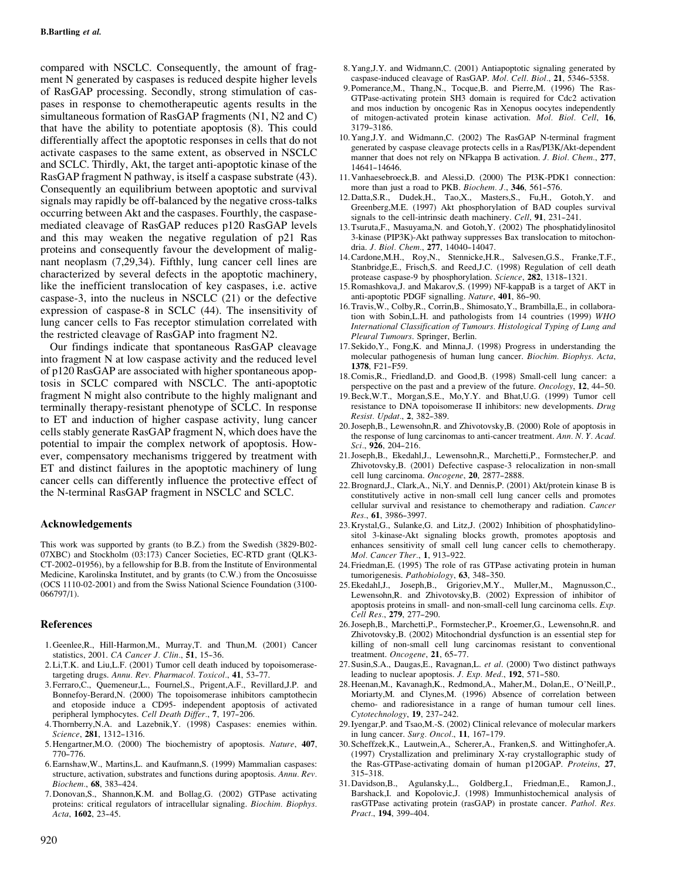compared with NSCLC. Consequently, the amount of fragment N generated by caspases is reduced despite higher levels of RasGAP processing. Secondly, strong stimulation of caspases in response to chemotherapeutic agents results in the simultaneous formation of RasGAP fragments (N1, N2 and C) that have the ability to potentiate apoptosis (8). This could differentially affect the apoptotic responses in cells that do not activate caspases to the same extent, as observed in NSCLC and SCLC. Thirdly, Akt, the target anti-apoptotic kinase of the RasGAP fragment N pathway, is itself a caspase substrate (43). Consequently an equilibrium between apoptotic and survival signals may rapidly be off-balanced by the negative cross-talks occurring between Akt and the caspases. Fourthly, the caspasemediated cleavage of RasGAP reduces p120 RasGAP levels and this may weaken the negative regulation of p21 Ras proteins and consequently favour the development of malignant neoplasm (7,29,34). Fifthly, lung cancer cell lines are characterized by several defects in the apoptotic machinery, like the inefficient translocation of key caspases, i.e. active caspase-3, into the nucleus in NSCLC (21) or the defective expression of caspase-8 in SCLC (44). The insensitivity of lung cancer cells to Fas receptor stimulation correlated with the restricted cleavage of RasGAP into fragment N2.

Our findings indicate that spontaneous RasGAP cleavage into fragment N at low caspase activity and the reduced level of p120 RasGAP are associated with higher spontaneous apoptosis in SCLC compared with NSCLC. The anti-apoptotic fragment N might also contribute to the highly malignant and terminally therapy-resistant phenotype of SCLC. In response to ET and induction of higher caspase activity, lung cancer cells stably generate RasGAP fragment N, which does have the potential to impair the complex network of apoptosis. However, compensatory mechanisms triggered by treatment with ET and distinct failures in the apoptotic machinery of lung cancer cells can differently influence the protective effect of the N-terminal RasGAP fragment in NSCLC and SCLC.

### Acknowledgements

This work was supported by grants (to B.Z.) from the Swedish (3829-B02- 07XBC) and Stockholm (03:173) Cancer Societies, EC-RTD grant (QLK3- CT-2002-01956), by a fellowship for B.B. from the Institute of Environmental Medicine, Karolinska Institutet, and by grants (to C.W.) from the Oncosuisse (OCS 1110-02-2001) and from the Swiss National Science Foundation (3100- 066797/1).

### References

- 1.Geenlee,R., Hill-Harmon,M., Murray,T. and Thun,M. (2001) Cancer statistics, 2001. CA Cancer J. Clin., 51, 15-36.
- 2.Li,T.K. and Liu,L.F. (2001) Tumor cell death induced by topoisomerasetargeting drugs. Annu. Rev. Pharmacol. Toxicol., 41, 53-77.
- 3.Ferraro,C., Quemeneur,L., Fournel,S., Prigent,A.F., Revillard,J.P. and Bonnefoy-Berard,N. (2000) The topoisomerase inhibitors camptothecin and etoposide induce a CD95- independent apoptosis of activated peripheral lymphocytes. Cell Death Differ., 7, 197-206.
- 4.Thornberry,N.A. and Lazebnik,Y. (1998) Caspases: enemies within. Science, 281, 1312-1316.
- 5.Hengartner,M.O. (2000) The biochemistry of apoptosis. Nature, 407, 770--776.
- 6.Earnshaw,W., Martins,L. and Kaufmann,S. (1999) Mammalian caspases: structure, activation, substrates and functions during apoptosis. Annu. Rev. Biochem., 68, 383-424.
- 7.Donovan,S., Shannon,K.M. and Bollag,G. (2002) GTPase activating proteins: critical regulators of intracellular signaling. Biochim. Biophys. Acta, 1602, 23-45.
- 8.Yang,J.Y. and Widmann,C. (2001) Antiapoptotic signaling generated by caspase-induced cleavage of RasGAP. Mol. Cell. Biol., 21, 5346-5358.
- 9.Pomerance,M., Thang,N., Tocque,B. and Pierre,M. (1996) The Ras-GTPase-activating protein SH3 domain is required for Cdc2 activation and mos induction by oncogenic Ras in Xenopus oocytes independently of mitogen-activated protein kinase activation. Mol. Biol. Cell, 16, 3179-3186.
- 10.Yang,J.Y. and Widmann,C. (2002) The RasGAP N-terminal fragment generated by caspase cleavage protects cells in a Ras/PI3K/Akt-dependent manner that does not rely on NFkappa B activation. J. Biol. Chem., 277, 14641--14646.
- 11.Vanhaesebroeck,B. and Alessi,D. (2000) The PI3K-PDK1 connection: more than just a road to PKB. Biochem. J., 346, 561-576.
- 12.Datta,S.R., Dudek,H., Tao,X., Masters,S., Fu,H., Gotoh,Y. and Greenberg,M.E. (1997) Akt phosphorylation of BAD couples survival signals to the cell-intrinsic death machinery. Cell,  $91$ ,  $231-241$ .
- 13.Tsuruta,F., Masuyama,N. and Gotoh,Y. (2002) The phosphatidylinositol 3-kinase (PIP3K)-Akt pathway suppresses Bax translocation to mitochondria. J. Biol. Chem., 277, 14040-14047.
- 14.Cardone,M.H., Roy,N., Stennicke,H.R., Salvesen,G.S., Franke,T.F., Stanbridge,E., Frisch,S. and Reed,J.C. (1998) Regulation of cell death protease caspase-9 by phosphorylation. Science, 282, 1318-1321.
- 15.Romashkova,J. and Makarov,S. (1999) NF-kappaB is a target of AKT in anti-apoptotic PDGF signalling. Nature, 401, 86-90.
- 16.Travis,W., Colby,R., Corrin,B., Shimosato,Y., Brambilla,E., in collaboration with Sobin,L.H. and pathologists from 14 countries (1999) WHO International Classification of Tumours. Histological Typing of Lung and Pleural Tumours. Springer, Berlin.
- 17.Sekido,Y., Fong,K. and Minna,J. (1998) Progress in understanding the molecular pathogenesis of human lung cancer. Biochim. Biophys. Acta, 1378, F<sub>21</sub>-F<sub>59</sub>.
- 18.Comis,R., Friedland,D. and Good,B. (1998) Small-cell lung cancer: a perspective on the past and a preview of the future. Oncology, 12, 44-50.
- 19.Beck,W.T., Morgan,S.E., Mo,Y.Y. and Bhat,U.G. (1999) Tumor cell resistance to DNA topoisomerase II inhibitors: new developments. Drug Resist. Updat., 2, 382-389.
- 20.Joseph,B., Lewensohn,R. and Zhivotovsky,B. (2000) Role of apoptosis in the response of lung carcinomas to anti-cancer treatment. Ann. N. Y. Acad. Sci., 926, 204-216.
- 21.Joseph,B., Ekedahl,J., Lewensohn,R., Marchetti,P., Formstecher,P. and Zhivotovsky,B. (2001) Defective caspase-3 relocalization in non-small cell lung carcinoma. Oncogene, 20, 2877-2888.
- 22.Brognard,J., Clark,A., Ni,Y. and Dennis,P. (2001) Akt/protein kinase B is constitutively active in non-small cell lung cancer cells and promotes cellular survival and resistance to chemotherapy and radiation. Cancer  $Res.$ , 61, 3986-3997.
- 23.Krystal,G., Sulanke,G. and Litz,J. (2002) Inhibition of phosphatidylinositol 3-kinase-Akt signaling blocks growth, promotes apoptosis and enhances sensitivity of small cell lung cancer cells to chemotherapy. Mol. Cancer Ther., 1, 913-922.
- 24.Friedman,E. (1995) The role of ras GTPase activating protein in human tumorigenesis. Pathobiology, 63, 348-350.
- 25.Ekedahl,J., Joseph,B., Grigoriev,M.Y., Muller,M., Magnusson,C., Lewensohn,R. and Zhivotovsky,B. (2002) Expression of inhibitor of apoptosis proteins in small- and non-small-cell lung carcinoma cells. Exp.  $Cell Res. 279. 277-290.$
- 26.Joseph,B., Marchetti,P., Formstecher,P., Kroemer,G., Lewensohn,R. and Zhivotovsky,B. (2002) Mitochondrial dysfunction is an essential step for killing of non-small cell lung carcinomas resistant to conventional treatment. Oncogene, 21, 65-77.
- 27. Susin, S.A., Daugas, E., Ravagnan, L. et al. (2000) Two distinct pathways leading to nuclear apoptosis. J. Exp. Med., 192, 571-580.
- 28.Heenan,M., Kavanagh,K., Redmond,A., Maher,M., Dolan,E., O'Neill,P., Moriarty,M. and Clynes,M. (1996) Absence of correlation between chemo- and radioresistance in a range of human tumour cell lines. Cytotechnology, 19, 237-242.
- 29.Iyengar,P. and Tsao,M.-S. (2002) Clinical relevance of molecular markers in lung cancer. Surg. Oncol., 11, 167-179.
- 30.Scheffzek,K., Lautwein,A., Scherer,A., Franken,S. and Wittinghofer,A. (1997) Crystallization and preliminary X-ray crystallographic study of the Ras-GTPase-activating domain of human p120GAP. Proteins, 27, 315--318.
- 31.Davidson,B., Agulansky,L., Goldberg,I., Friedman,E., Ramon,J., Barshack,I. and Kopolovic,J. (1998) Immunhistochemical analysis of rasGTPase activating protein (rasGAP) in prostate cancer. Pathol. Res. Pract., 194, 399-404.